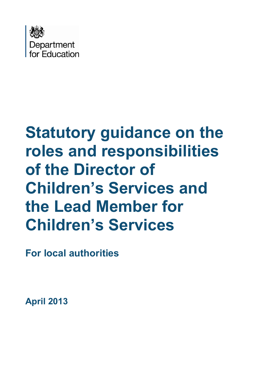

# **Statutory guidance on the roles and responsibilities of the Director of Children's Services and the Lead Member for Children's Services**

**For local authorities** 

**April 2013**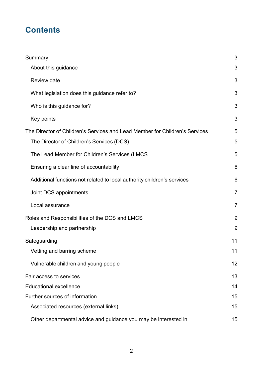# **Contents**

| Summary                                                                     | 3              |
|-----------------------------------------------------------------------------|----------------|
| About this guidance                                                         | 3              |
| <b>Review date</b>                                                          | 3              |
| What legislation does this guidance refer to?                               | 3              |
| Who is this guidance for?                                                   | 3              |
| Key points                                                                  | 3              |
| The Director of Children's Services and Lead Member for Children's Services | 5              |
| The Director of Children's Services (DCS)                                   | 5              |
| The Lead Member for Children's Services (LMCS                               | 5              |
| Ensuring a clear line of accountability                                     | 6              |
| Additional functions not related to local authority children's services     | 6              |
| Joint DCS appointments                                                      | $\overline{7}$ |
| Local assurance                                                             | $\overline{7}$ |
| Roles and Responsibilities of the DCS and LMCS                              | 9              |
| Leadership and partnership                                                  | 9              |
| Safeguarding                                                                | 11             |
| Vetting and barring scheme                                                  | 11             |
| Vulnerable children and young people                                        | 12             |
| Fair access to services                                                     | 13             |
| <b>Educational excellence</b>                                               | 14             |
| Further sources of information                                              | 15             |
| Associated resources (external links)                                       | 15             |
| Other departmental advice and guidance you may be interested in             | 15             |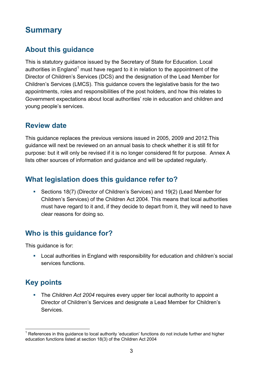## <span id="page-2-0"></span>**Summary**

## <span id="page-2-1"></span>**About this guidance**

This is statutory guidance issued by the Secretary of State for Education. Local authorities in England<sup>[1](#page-2-6)</sup> must have regard to it in relation to the appointment of the Director of Children's Services (DCS) and the designation of the Lead Member for Children's Services (LMCS). This guidance covers the legislative basis for the two appointments, roles and responsibilities of the post holders, and how this relates to Government expectations about local authorities' role in education and children and young people's services.

#### <span id="page-2-2"></span>**Review date**

This guidance replaces the previous versions issued in 2005, 2009 and 2012.This guidance will next be reviewed on an annual basis to check whether it is still fit for purpose: but it will only be revised if it is no longer considered fit for purpose. Annex A lists other sources of information and guidance and will be updated regularly.

#### <span id="page-2-3"></span>**What legislation does this guidance refer to?**

 Sections 18(7) (Director of Children's Services) and 19(2) (Lead Member for Children's Services) of the Children Act 2004. This means that local authorities must have regard to it and, if they decide to depart from it, they will need to have clear reasons for doing so.

#### <span id="page-2-4"></span>**Who is this guidance for?**

This guidance is for:

 Local authorities in England with responsibility for education and children's social services functions.

## <span id="page-2-5"></span>**Key points**

 The *Children Act 2004* requires every upper tier local authority to appoint a Director of Children's Services and designate a Lead Member for Children's Services.

<span id="page-2-6"></span> $1$  References in this guidance to local authority 'education' functions do not include further and higher education functions listed at section 18(3) of the Children Act 2004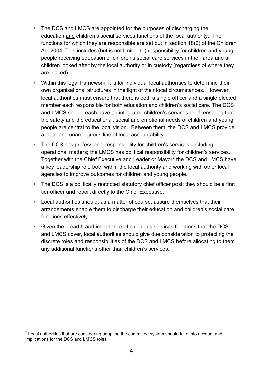- The DCS and LMCS are appointed for the purposes of discharging the education and children's social services functions of the local authority. The functions for which they are responsible are set out in section 18(2) of the Children Act 2004. This includes (but is not limited to) responsibility for children and young people receiving education or children's social care services in their area and all children looked after by the local authority or in custody (regardless of where they are placed).
- Within this legal framework, it is for individual local authorities to determine their own organisational structures in the light of their local circumstances. However, local authorities must ensure that there is both a single officer and a single elected member each responsible for both education and children's social care. The DCS and LMCS should each have an integrated children's services brief, ensuring that the safety and the educational, social and emotional needs of children and young people are central to the local vision. Between them, the DCS and LMCS provide a clear and unambiguous line of local accountability.
- The DCS has professional responsibility for children's services, including operational matters; the LMCS has political responsibility for children's services. Together with the Chief Executive and Leader or Mayor<sup>[2](#page-3-0)</sup> the DCS and LMCS have a key leadership role both within the local authority and working with other local agencies to improve outcomes for children and young people.
- The DCS is a politically restricted statutory chief officer post; they should be a first tier officer and report directly to the Chief Executive.
- Local authorities should, as a matter of course, assure themselves that their arrangements enable them to discharge their education and children's social care functions effectively.
- Given the breadth and importance of children's services functions that the DCS and LMCS cover, local authorities should give due consideration to protecting the discrete roles and responsibilities of the DCS and LMCS before allocating to them any additional functions other than children's services.

<span id="page-3-0"></span> $2$  Local authorities that are considering adopting the committee system should take into account and implications for the DCS and LMCS roles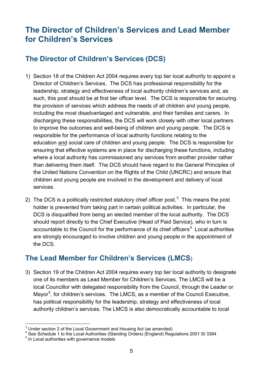# <span id="page-4-0"></span>**The Director of Children's Services and Lead Member for Children's Services**

## <span id="page-4-1"></span>**The Director of Children's Services (DCS)**

- 1) Section 18 of the Children Act 2004 requires every top tier local authority to appoint a Director of Children's Services. The DCS has professional responsibility for the leadership, strategy and effectiveness of local authority children's services and, as such, this post should be at first tier officer level. The DCS is responsible for securing the provision of services which address the needs of all children and young people, including the most disadvantaged and vulnerable, and their families and carers. In discharging these responsibilities, the DCS will work closely with other local partners to improve the outcomes and well-being of children and young people. The DCS is responsible for the performance of local authority functions relating to the education and social care of children and young people. The DCS is responsible for ensuring that effective systems are in place for discharging these functions, including where a local authority has commissioned any services from another provider rather than delivering them itself. The DCS should have regard to the General Principles of the United Nations Convention on the Rights of the Child (UNCRC) and ensure that children and young people are involved in the development and delivery of local services.
- 2) The DCS is a politically restricted statutory chief officer post.<sup>[3](#page-4-3)</sup> This means the post holder is prevented from taking part in certain political activities. In particular, the DCS is disqualified from being an elected member of the local authority. The DCS should report directly to the Chief Executive (Head of Paid Service), who in turn is accountable to the Council for the performance of its chief officers<sup>[4](#page-4-4)</sup> Local authorities are strongly encouraged to involve children and young people in the appointment of the DCS.

#### <span id="page-4-2"></span>**The Lead Member for Children's Services (LMCS**)

3) Section 19 of the Children Act 2004 requires every top tier local authority to designate one of its members as Lead Member for Children's Services. The LMCS will be a local Councillor with delegated responsibility from the Council, through the Leader or Mayor<sup>[5](#page-4-5)</sup>, for children's services. The LMCS, as a member of the Council Executive, has political responsibility for the leadership, strategy and effectiveness of local authority children's services. The LMCS is also democratically accountable to local

 $\frac{3}{2}$ Under section 2 of the Local Government and Housing Act (as amended)

<span id="page-4-4"></span><span id="page-4-3"></span> $4$  See Schedule 1 to the Local Authorities (Standing Orders) (England) Regulations 2001 SI 3384

<span id="page-4-5"></span><sup>&</sup>lt;sup>5</sup> In Local authorities with governance models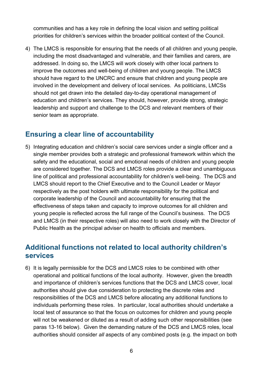communities and has a key role in defining the local vision and setting political priorities for children's services within the broader political context of the Council.

4) The LMCS is responsible for ensuring that the needs of all children and young people, including the most disadvantaged and vulnerable, and their families and carers, are addressed. In doing so, the LMCS will work closely with other local partners to improve the outcomes and well-being of children and young people. The LMCS should have regard to the UNCRC and ensure that children and young people are involved in the development and delivery of local services. As politicians, LMCSs should not get drawn into the detailed day-to-day operational management of education and children's services. They should, however, provide strong, strategic leadership and support and challenge to the DCS and relevant members of their senior team as appropriate.

#### <span id="page-5-0"></span>**Ensuring a clear line of accountability**

5) Integrating education and children's social care services under a single officer and a single member provides both a strategic and professional framework within which the safety and the educational, social and emotional needs of children and young people are considered together. The DCS and LMCS roles provide a clear and unambiguous line of political and professional accountability for children's well-being. The DCS and LMCS should report to the Chief Executive and to the Council Leader or Mayor respectively as the post holders with ultimate responsibility for the political and corporate leadership of the Council and accountability for ensuring that the effectiveness of steps taken and capacity to improve outcomes for all children and young people is reflected across the full range of the Council's business. The DCS and LMCS (in their respective roles) will also need to work closely with the Director of Public Health as the principal adviser on health to officials and members.

#### <span id="page-5-1"></span>**Additional functions not related to local authority children's services**

6) It is legally permissible for the DCS and LMCS roles to be combined with other operational and political functions of the local authority. However, given the breadth and importance of children's services functions that the DCS and LMCS cover, local authorities should give due consideration to protecting the discrete roles and responsibilities of the DCS and LMCS before allocating any additional functions to individuals performing these roles. In particular, local authorities should undertake a local test of assurance so that the focus on outcomes for children and young people will not be weakened or diluted as a result of adding such other responsibilities (see paras 13-16 below). Given the demanding nature of the DCS and LMCS roles, local authorities should consider *all* aspects of any combined posts (e.g. the impact on both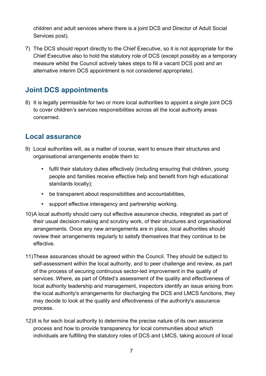children and adult services where there is a joint DCS and Director of Adult Social Services post).

7) The DCS should report directly to the Chief Executive, so it is not appropriate for the Chief Executive also to hold the statutory role of DCS (except possibly as a temporary measure whilst the Council actively takes steps to fill a vacant DCS post and an alternative interim DCS appointment is not considered appropriate).

## <span id="page-6-0"></span>**Joint DCS appointments**

8) It is legally permissible for two or more local authorities to appoint a single joint DCS to cover children's services responsibilities across all the local authority areas concerned.

#### <span id="page-6-1"></span>**Local assurance**

- 9) Local authorities will, as a matter of course, want to ensure their structures and organisational arrangements enable them to:
	- fulfil their statutory duties effectively (including ensuring that children, young people and families receive effective help and benefit from high educational standards locally);
	- be transparent about responsibilities and accountabilities,
	- support effective interagency and partnership working.
- 10)A local authority should carry out effective assurance checks, integrated as part of their usual decision-making and scrutiny work, of their structures and organisational arrangements. Once any new arrangements are in place, local authorities should review their arrangements regularly to satisfy themselves that they continue to be effective.
- 11)These assurances should be agreed within the Council. They should be subject to self-assessment within the local authority, and to peer challenge and review, as part of the process of securing continuous sector-led improvement in the quality of services. Where, as part of Ofsted's assessment of the quality and effectiveness of local authority leadership and management, inspectors identify an issue arising from the local authority's arrangements for discharging the DCS and LMCS functions, they may decide to look at the quality and effectiveness of the authority's assurance process.
- 12)It is for each local authority to determine the precise nature of its own assurance process and how to provide transparency for local communities about which individuals are fulfilling the statutory roles of DCS and LMCS, taking account of local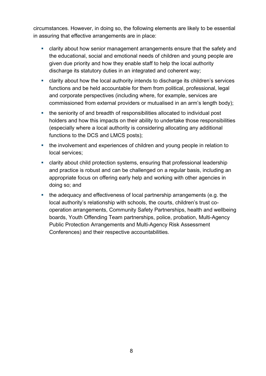circumstances. However, in doing so, the following elements are likely to be essential in assuring that effective arrangements are in place:

- clarity about how senior management arrangements ensure that the safety and the educational, social and emotional needs of children and young people are given due priority and how they enable staff to help the local authority discharge its statutory duties in an integrated and coherent way;
- clarity about how the local authority intends to discharge its children's services functions and be held accountable for them from political, professional, legal and corporate perspectives (including where, for example, services are commissioned from external providers or mutualised in an arm's length body);
- the seniority of and breadth of responsibilities allocated to individual post holders and how this impacts on their ability to undertake those responsibilities (especially where a local authority is considering allocating any additional functions to the DCS and LMCS posts);
- the involvement and experiences of children and young people in relation to local services;
- clarity about child protection systems, ensuring that professional leadership and practice is robust and can be challenged on a regular basis, including an appropriate focus on offering early help and working with other agencies in doing so; and
- the adequacy and effectiveness of local partnership arrangements (e.g. the local authority's relationship with schools, the courts, children's trust cooperation arrangements, Community Safety Partnerships, health and wellbeing boards, Youth Offending Team partnerships, police, probation, Multi-Agency Public Protection Arrangements and Multi-Agency Risk Assessment Conferences) and their respective accountabilities.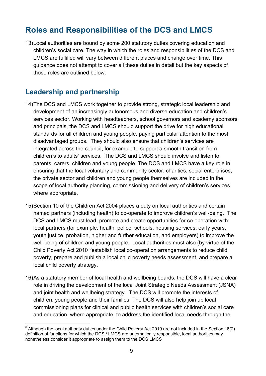## <span id="page-8-0"></span>**Roles and Responsibilities of the DCS and LMCS**

13)Local authorities are bound by some 200 statutory duties covering education and children's social care. The way in which the roles and responsibilities of the DCS and LMCS are fulfilled will vary between different places and change over time. This guidance does not attempt to cover all these duties in detail but the key aspects of those roles are outlined below.

#### <span id="page-8-1"></span>**Leadership and partnership**

- 14)The DCS and LMCS work together to provide strong, strategic local leadership and development of an increasingly autonomous and diverse education and children's services sector. Working with headteachers, school governors and academy sponsors and principals, the DCS and LMCS should support the drive for high educational standards for all children and young people, paying particular attention to the most disadvantaged groups. They should also ensure that children's services are integrated across the council, for example to support a smooth transition from children's to adults' services. The DCS and LMCS should involve and listen to parents, carers, children and young people. The DCS and LMCS have a key role in ensuring that the local voluntary and community sector, charities, social enterprises, the private sector and children and young people themselves are included in the scope of local authority planning, commissioning and delivery of children's services where appropriate.
- 15)Section 10 of the Children Act 2004 places a duty on local authorities and certain named partners (including health) to co-operate to improve children's well-being. The DCS and LMCS must lead, promote and create opportunities for co-operation with local partners (for example, health, police, schools, housing services, early years, youth justice, probation, higher and further education, and employers) to improve the well-being of children and young people. Local authorities must also (by virtue of the Child Poverty Act 2010 <sup>[6](#page-8-2)</sup>establish local co-operation arrangements to reduce child poverty, prepare and publish a local child poverty needs assessment, and prepare a local child poverty strategy.
- 16)As a statutory member of local health and wellbeing boards, the DCS will have a clear role in driving the development of the local Joint Strategic Needs Assessment (JSNA) and joint health and wellbeing strategy. The DCS will promote the interests of children, young people and their families. The DCS will also help join up local commissioning plans for clinical and public health services with children's social care and education, where appropriate, to address the identified local needs through the

<span id="page-8-2"></span> $6$  Although the local authority duties under the Child Poverty Act 2010 are not included in the Section 18(2) definition of functions for which the DCS / LMCS are automatically responsible, local authorities may nonetheless consider it appropriate to assign them to the DCS LMCS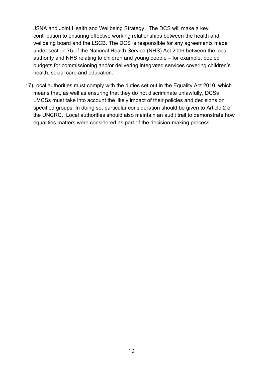JSNA and Joint Health and Wellbeing Strategy. The DCS will make a key contribution to ensuring effective working relationships between the health and wellbeing board and the LSCB. The DCS is responsible for any agreements made under section 75 of the National Health Service (NHS) Act 2006 between the local authority and NHS relating to children and young people – for example, pooled budgets for commissioning and/or delivering integrated services covering children's health, social care and education.

17)Local authorities must comply with the duties set out in the Equality Act 2010, which means that, as well as ensuring that they do not discriminate unlawfully, DCSs LMCSs must take into account the likely impact of their policies and decisions on specified groups. In doing so, particular consideration should be given to Article 2 of the UNCRC. Local authorities should also maintain an audit trail to demonstrate how equalities matters were considered as part of the decision-making process.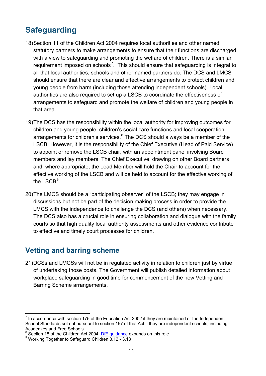# <span id="page-10-0"></span>**Safeguarding**

- 18)Section 11 of the Children Act 2004 requires local authorities and other named statutory partners to make arrangements to ensure that their functions are discharged with a view to safeguarding and promoting the welfare of children. There is a similar requirement imposed on schools<sup>[7](#page-10-2)</sup>. This should ensure that safeguarding is integral to all that local authorities, schools and other named partners do. The DCS and LMCS should ensure that there are clear and effective arrangements to protect children and young people from harm (including those attending independent schools). Local authorities are also required to set up a LSCB to coordinate the effectiveness of arrangements to safeguard and promote the welfare of children and young people in that area.
- 19)The DCS has the responsibility within the local authority for improving outcomes for children and young people, children's social care functions and local cooperation arrangements for children's services. $8$  The DCS should always be a member of the LSCB. However, it is the responsibility of the Chief Executive (Head of Paid Service) to appoint or remove the LSCB chair, with an appointment panel involving Board members and lay members. The Chief Executive, drawing on other Board partners and, where appropriate, the Lead Member will hold the Chair to account for the effective working of the LSCB and will be held to account for the effective working of the  $\mathsf{LSCB}^9$  $\mathsf{LSCB}^9$ .
- 20)The LMCS should be a "participating observer" of the LSCB; they may engage in discussions but not be part of the decision making process in order to provide the LMCS with the independence to challenge the DCS (and others) when necessary. The DCS also has a crucial role in ensuring collaboration and dialogue with the family courts so that high quality local authority assessments and other evidence contribute to effective and timely court processes for children.

## <span id="page-10-1"></span>**Vetting and barring scheme**

21)DCSs and LMCSs will not be in regulated activity in relation to children just by virtue of undertaking those posts. The Government will publish detailed information about workplace safeguarding in good time for commencement of the new Vetting and Barring Scheme arrangements.

<span id="page-10-2"></span>In accordance with section 175 of the Education Act 2002 if they are maintained or the Independent School Standards set out pursuant to section 157 of that Act if they are independent schools, including Academies and Free Schools

<span id="page-10-4"></span><span id="page-10-3"></span><sup>&</sup>lt;sup>8</sup> Section 18 of the Children Act 2004. Df E guidance expands on this role 9 Working Together to Safeguard Children 3.12 - 3.13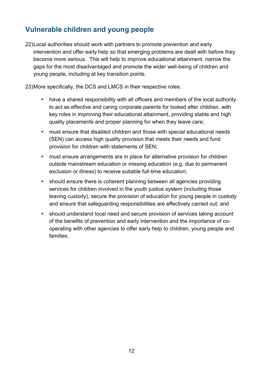## <span id="page-11-0"></span>**Vulnerable children and young people**

- 22)Local authorities should work with partners to promote prevention and early intervention and offer early help so that emerging problems are dealt with before they become more serious. This will help to improve educational attainment, narrow the gaps for the most disadvantaged and promote the wider well-being of children and young people, including at key transition points.
- 23)More specifically, the DCS and LMCS in their respective roles:
	- have a shared responsibility with all officers and members of the local authority to act as effective and caring corporate parents for looked after children, with key roles in improving their educational attainment, providing stable and high quality placements and proper planning for when they leave care;
	- **nust ensure that disabled children and those with special educational needs** (SEN) can access high quality provision that meets their needs and fund provision for children with statements of SEN;
	- **nust ensure arrangements are in place for alternative provision for children** outside mainstream education or missing education (e.g. due to permanent exclusion or illness) to receive suitable full-time education;
	- should ensure there is coherent planning between all agencies providing services for children involved in the youth justice system (including those leaving custody), secure the provision of education for young people in custody and ensure that safeguarding responsibilities are effectively carried out; and
	- should understand local need and secure provision of services taking account of the benefits of prevention and early intervention and the importance of cooperating with other agencies to offer early help to children, young people and families.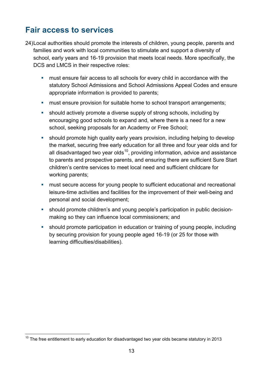## <span id="page-12-0"></span>**Fair access to services**

- 24)Local authorities should promote the interests of children, young people, parents and families and work with local communities to stimulate and support a diversity of school, early years and 16-19 provision that meets local needs. More specifically, the DCS and LMCS in their respective roles:
	- must ensure fair access to all schools for every child in accordance with the statutory School Admissions and School Admissions Appeal Codes and ensure appropriate information is provided to parents;
	- **nust ensure provision for suitable home to school transport arrangements;**
	- should actively promote a diverse supply of strong schools, including by encouraging good schools to expand and, where there is a need for a new school, seeking proposals for an Academy or Free School;
	- should promote high quality early years provision, including helping to develop the market, securing free early education for all three and four year olds and for all disadvantaged two year olds<sup>10</sup>, providing information, advice and assistance to parents and prospective parents, and ensuring there are sufficient Sure Start children's centre services to meet local need and sufficient childcare for working parents;
	- must secure access for young people to sufficient educational and recreational leisure-time activities and facilities for the improvement of their well-being and personal and social development;
	- should promote children's and young people's participation in public decisionmaking so they can influence local commissioners; and
	- should promote participation in education or training of young people, including by securing provision for young people aged 16-19 (or 25 for those with learning difficulties/disabilities).

<span id="page-12-1"></span> $10$  The free entitlement to early education for disadvantaged two year olds became statutory in 2013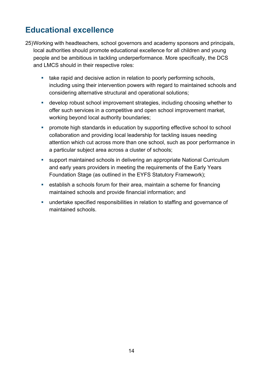# <span id="page-13-0"></span>**Educational excellence**

- 25)Working with headteachers, school governors and academy sponsors and principals, local authorities should promote educational excellence for all children and young people and be ambitious in tackling underperformance. More specifically, the DCS and LMCS should in their respective roles:
	- take rapid and decisive action in relation to poorly performing schools, including using their intervention powers with regard to maintained schools and considering alternative structural and operational solutions;
	- develop robust school improvement strategies, including choosing whether to offer such services in a competitive and open school improvement market, working beyond local authority boundaries;
	- **•** promote high standards in education by supporting effective school to school collaboration and providing local leadership for tackling issues needing attention which cut across more than one school, such as poor performance in a particular subject area across a cluster of schools;
	- support maintained schools in delivering an appropriate National Curriculum and early years providers in meeting the requirements of the Early Years Foundation Stage (as outlined in the EYFS Statutory Framework);
	- establish a schools forum for their area, maintain a scheme for financing maintained schools and provide financial information; and
	- undertake specified responsibilities in relation to staffing and governance of maintained schools.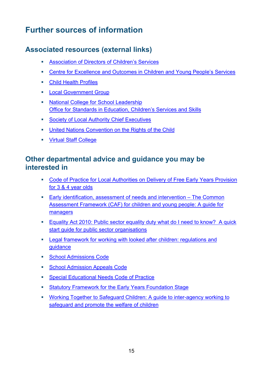# <span id="page-14-0"></span>**Further sources of information**

## <span id="page-14-1"></span>**Associated resources (external links)**

- Association of Directors of Children's Services
- [Centre for Excellence and Outcomes in Children and Young People's Services](http://www.c4eo.org.uk/)
- [Child Health Profiles](http://www.chimat.org.uk/profiles)
- **[Local Government Group](http://www.local.gov.uk/)**
- **[National College for School Leadership](http://www.education.gov.uk/nationalcollege/)** [Office for Standards in Education, Children's Services and Skills](http://www.ofsted.gov.uk/)
- **[Society of Local Authority Chief Executives](http://www.solace.org.uk/)**
- United Nations Convention on the Rights of the Child
- **[Virtual Staff College](http://www.virtualstaffcollege.co.uk/)**

#### <span id="page-14-2"></span>**Other departmental advice and guidance you may be interested in**

- [Code of Practice for Local Authorities on Delivery of Free Early Years Provision](http://www.education.gov.uk/aboutdfe/statutory/g00209650/code-of-practice-for-las)  [for 3 & 4 year olds](http://www.education.gov.uk/aboutdfe/statutory/g00209650/code-of-practice-for-las)
- [Early identification, assessment of needs and intervention –](https://www.education.gov.uk/publications/eOrderingDownload/CAF-Practitioner-Guide.pdf) The Common [Assessment Framework \(CAF\) for children and young people: A guide for](https://www.education.gov.uk/publications/eOrderingDownload/CAF-Practitioner-Guide.pdf)  [managers](https://www.education.gov.uk/publications/eOrderingDownload/CAF-Practitioner-Guide.pdf)
- [Equality Act 2010: Public sector equality duty what do I need to know? A quick](http://www.pfc.org.uk/pdf/equality-duty.pdf)  [start guide for public sector organisations](http://www.pfc.org.uk/pdf/equality-duty.pdf)
- [Legal framework for working with looked after children: regulations and](http://www.education.gov.uk/childrenandyoungpeople/families/childrenincare/regs)  [guidance](http://www.education.gov.uk/childrenandyoungpeople/families/childrenincare/regs)
- [School Admissions Code](https://www.education.gov.uk/publications/standard/publicationDetail/Page1/DFE-00013-2012)
- [School Admission Appeals Code](http://www.education.gov.uk/childrenandyoungpeople/strategy/laupdates/a00203050/the-school-admissions-and-appeals-codes)
- **[Special Educational Needs Code](http://www.education.gov.uk/aboutdfe/statutory/g00213120/eyfs-statutory-framework) of Practice**
- **[Statutory Framework for the Early Years Foundation Stage](http://www.education.gov.uk/aboutdfe/statutory/g00213120/eyfs-statutory-framework)**
- [Working Together to Safeguard Children: A guide to inter-agency working to](https://www.education.gov.uk/publications/standard/publicationDetail/Page1/DCSF-00305-2010)  [safeguard and promote the welfare of children](https://www.education.gov.uk/publications/standard/publicationDetail/Page1/DCSF-00305-2010)